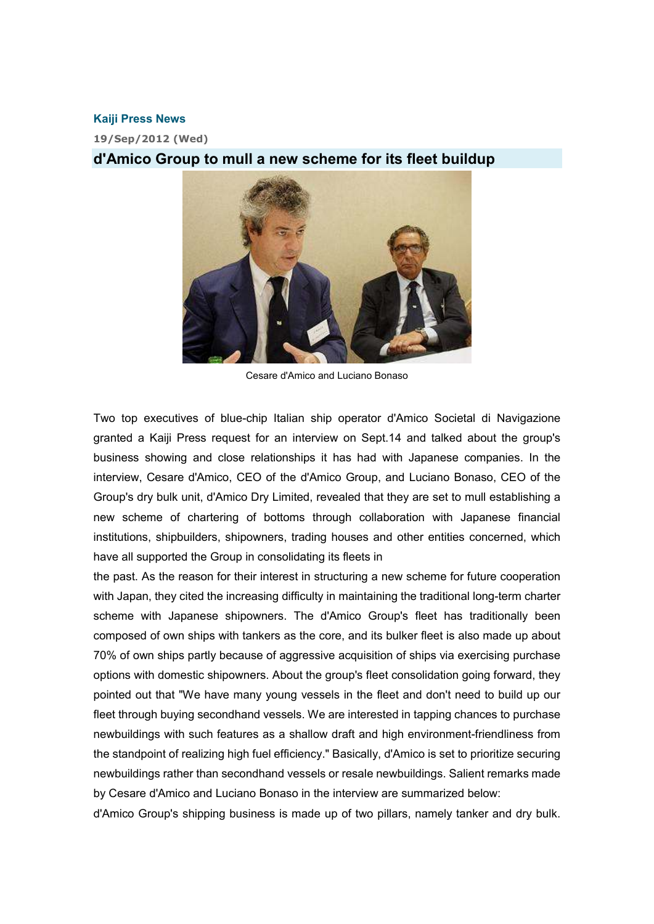## **Kaiji Press News**

**19/Sep/2012 (Wed)** 

## **d'Amico Group to mull a new scheme for its fleet buildup**



Cesare d'Amico and Luciano Bonaso

Two top executives of blue-chip Italian ship operator d'Amico Societal di Navigazione granted a Kaiji Press request for an interview on Sept.14 and talked about the group's business showing and close relationships it has had with Japanese companies. In the interview, Cesare d'Amico, CEO of the d'Amico Group, and Luciano Bonaso, CEO of the Group's dry bulk unit, d'Amico Dry Limited, revealed that they are set to mull establishing a new scheme of chartering of bottoms through collaboration with Japanese financial institutions, shipbuilders, shipowners, trading houses and other entities concerned, which have all supported the Group in consolidating its fleets in

the past. As the reason for their interest in structuring a new scheme for future cooperation with Japan, they cited the increasing difficulty in maintaining the traditional long-term charter scheme with Japanese shipowners. The d'Amico Group's fleet has traditionally been composed of own ships with tankers as the core, and its bulker fleet is also made up about 70% of own ships partly because of aggressive acquisition of ships via exercising purchase options with domestic shipowners. About the group's fleet consolidation going forward, they pointed out that "We have many young vessels in the fleet and don't need to build up our fleet through buying secondhand vessels. We are interested in tapping chances to purchase newbuildings with such features as a shallow draft and high environment-friendliness from the standpoint of realizing high fuel efficiency." Basically, d'Amico is set to prioritize securing newbuildings rather than secondhand vessels or resale newbuildings. Salient remarks made by Cesare d'Amico and Luciano Bonaso in the interview are summarized below:

d'Amico Group's shipping business is made up of two pillars, namely tanker and dry bulk.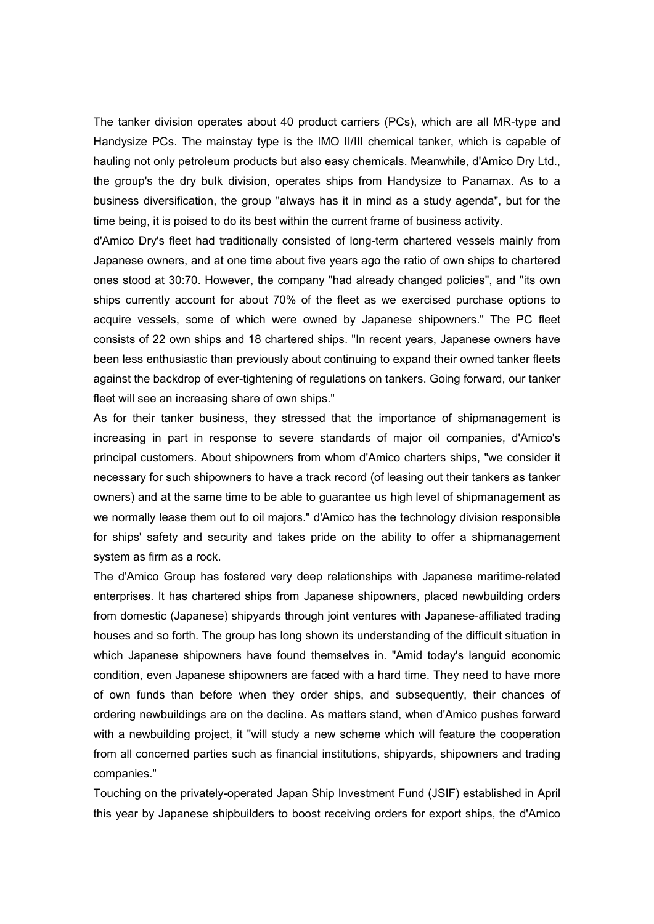The tanker division operates about 40 product carriers (PCs), which are all MR-type and Handysize PCs. The mainstay type is the IMO II/III chemical tanker, which is capable of hauling not only petroleum products but also easy chemicals. Meanwhile, d'Amico Dry Ltd., the group's the dry bulk division, operates ships from Handysize to Panamax. As to a business diversification, the group "always has it in mind as a study agenda", but for the time being, it is poised to do its best within the current frame of business activity.

d'Amico Dry's fleet had traditionally consisted of long-term chartered vessels mainly from Japanese owners, and at one time about five years ago the ratio of own ships to chartered ones stood at 30:70. However, the company "had already changed policies", and "its own ships currently account for about 70% of the fleet as we exercised purchase options to acquire vessels, some of which were owned by Japanese shipowners." The PC fleet consists of 22 own ships and 18 chartered ships. "In recent years, Japanese owners have been less enthusiastic than previously about continuing to expand their owned tanker fleets against the backdrop of ever-tightening of regulations on tankers. Going forward, our tanker fleet will see an increasing share of own ships."

As for their tanker business, they stressed that the importance of shipmanagement is increasing in part in response to severe standards of major oil companies, d'Amico's principal customers. About shipowners from whom d'Amico charters ships, "we consider it necessary for such shipowners to have a track record (of leasing out their tankers as tanker owners) and at the same time to be able to guarantee us high level of shipmanagement as we normally lease them out to oil majors." d'Amico has the technology division responsible for ships' safety and security and takes pride on the ability to offer a shipmanagement system as firm as a rock.

The d'Amico Group has fostered very deep relationships with Japanese maritime-related enterprises. It has chartered ships from Japanese shipowners, placed newbuilding orders from domestic (Japanese) shipyards through joint ventures with Japanese-affiliated trading houses and so forth. The group has long shown its understanding of the difficult situation in which Japanese shipowners have found themselves in. "Amid today's languid economic condition, even Japanese shipowners are faced with a hard time. They need to have more of own funds than before when they order ships, and subsequently, their chances of ordering newbuildings are on the decline. As matters stand, when d'Amico pushes forward with a newbuilding project, it "will study a new scheme which will feature the cooperation from all concerned parties such as financial institutions, shipyards, shipowners and trading companies."

Touching on the privately-operated Japan Ship Investment Fund (JSIF) established in April this year by Japanese shipbuilders to boost receiving orders for export ships, the d'Amico